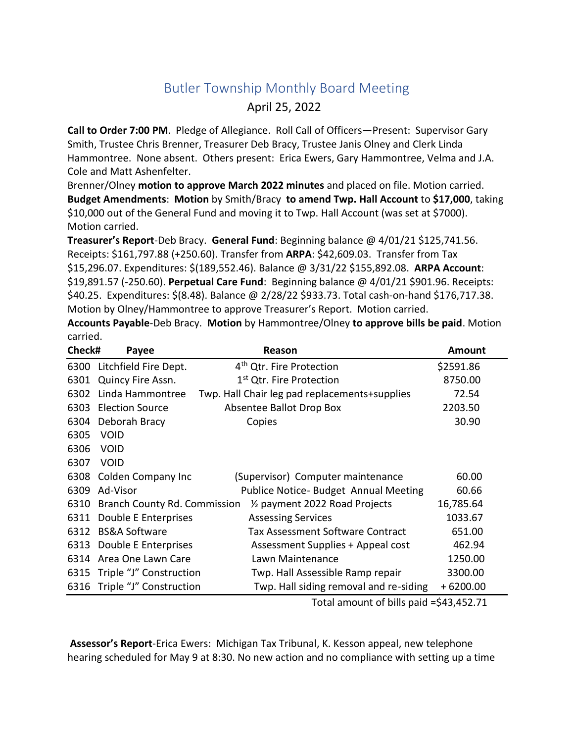## Butler Township Monthly Board Meeting

## April 25, 2022

**Call to Order 7:00 PM**. Pledge of Allegiance. Roll Call of Officers—Present: Supervisor Gary Smith, Trustee Chris Brenner, Treasurer Deb Bracy, Trustee Janis Olney and Clerk Linda Hammontree. None absent. Others present: Erica Ewers, Gary Hammontree, Velma and J.A. Cole and Matt Ashenfelter.

Brenner/Olney **motion to approve March 2022 minutes** and placed on file. Motion carried. **Budget Amendments**: **Motion** by Smith/Bracy **to amend Twp. Hall Account** to **\$17,000**, taking \$10,000 out of the General Fund and moving it to Twp. Hall Account (was set at \$7000). Motion carried.

**Treasurer's Report**-Deb Bracy. **General Fund**: Beginning balance @ 4/01/21 \$125,741.56. Receipts: \$161,797.88 (+250.60). Transfer from **ARPA**: \$42,609.03. Transfer from Tax \$15,296.07. Expenditures: \$(189,552.46). Balance @ 3/31/22 \$155,892.08. **ARPA Account**: \$19,891.57 (-250.60). **Perpetual Care Fund**: Beginning balance @ 4/01/21 \$901.96. Receipts: \$40.25. Expenditures: \$(8.48). Balance @ 2/28/22 \$933.73. Total cash-on-hand \$176,717.38. Motion by Olney/Hammontree to approve Treasurer's Report. Motion carried.

**Accounts Payable**-Deb Bracy. **Motion** by Hammontree/Olney **to approve bills be paid**. Motion carried.

| Check# | Payee                        | Reason                                        | Amount     |
|--------|------------------------------|-----------------------------------------------|------------|
|        | 6300 Litchfield Fire Dept.   | 4 <sup>th</sup> Qtr. Fire Protection          | \$2591.86  |
| 6301   | Quincy Fire Assn.            | 1 <sup>st</sup> Qtr. Fire Protection          | 8750.00    |
| 6302   | Linda Hammontree             | Twp. Hall Chair leg pad replacements+supplies | 72.54      |
| 6303   | <b>Election Source</b>       | Absentee Ballot Drop Box                      | 2203.50    |
| 6304   | Deborah Bracy                | Copies                                        | 30.90      |
| 6305   | <b>VOID</b>                  |                                               |            |
| 6306   | <b>VOID</b>                  |                                               |            |
| 6307   | <b>VOID</b>                  |                                               |            |
| 6308   | Colden Company Inc           | (Supervisor) Computer maintenance             | 60.00      |
| 6309   | Ad-Visor                     | Publice Notice- Budget Annual Meeting         | 60.66      |
| 6310   | Branch County Rd. Commission | 1/ <sub>2</sub> payment 2022 Road Projects    | 16,785.64  |
| 6311   | Double E Enterprises         | <b>Assessing Services</b>                     | 1033.67    |
| 6312   | <b>BS&amp;A Software</b>     | <b>Tax Assessment Software Contract</b>       | 651.00     |
| 6313   | Double E Enterprises         | Assessment Supplies + Appeal cost             | 462.94     |
| 6314   | Area One Lawn Care           | Lawn Maintenance                              | 1250.00    |
| 6315   | Triple "J" Construction      | Twp. Hall Assessible Ramp repair              | 3300.00    |
| 6316   | Triple "J" Construction      | Twp. Hall siding removal and re-siding        | $+6200.00$ |

Total amount of bills paid =\$43,452.71

**Assessor's Report**-Erica Ewers: Michigan Tax Tribunal, K. Kesson appeal, new telephone hearing scheduled for May 9 at 8:30. No new action and no compliance with setting up a time